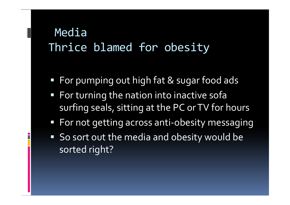### Media Thrice blamed for obesity

- **For pumping out high fat & sugar food ads**
- **For turning the nation into inactive sofally** surfing seals, sitting at the PC or TV for hours
- **For not getting across anti-obesity messaging**
- So sort out the media and obesity would be sorted right?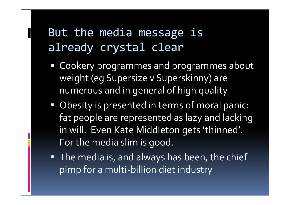# But the media message is already crystal clear

- **EX Cookery programmes and programmes about** weight (eg Supersize v Superskinny) are numerous and in general of high quality
- **Obesity is presented in terms of moral panic:** fat people are represented as lazy and lacking in will. Even Kate Middleton gets 'thinned'. For the media slim is good.
- **The media is, and always has been, the chief** pimp for a multi-billion diet industry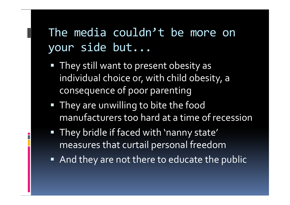# The media couldn't be more on your side but...

- **They still want to present obesity as** individual choice or, with child obesity, a consequence of poor parenting
- **They are unwilling to bite the food** manufacturers too hard at a time of recession
- They bridle if faced with 'nanny state' measures that curtail personal freedom
- And they are not there to educate the public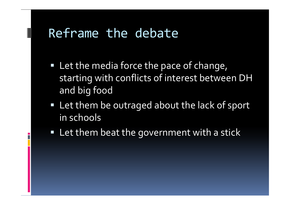#### Reframe the debate

- **EXTE:** Let the media force the pace of change, starting with conflicts of interest between DH and big food
- **Let them be outraged about the lack of sport** in schools
- **EXTER 1** Let them beat the government with a stick